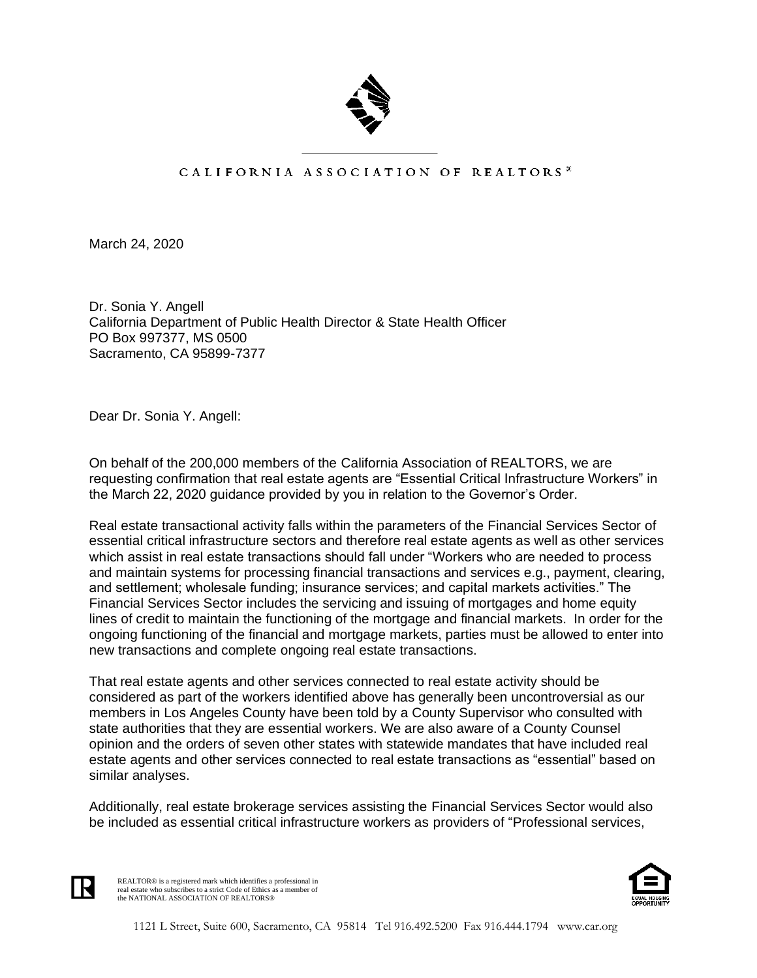

## CALIFORNIA ASSOCIATION OF REALTORS<sup>®</sup>

March 24, 2020

Dr. Sonia Y. Angell California Department of Public Health Director & State Health Officer PO Box 997377, MS 0500 Sacramento, CA 95899-7377

Dear Dr. Sonia Y. Angell:

On behalf of the 200,000 members of the California Association of REALTORS, we are requesting confirmation that real estate agents are "Essential Critical Infrastructure Workers" in the March 22, 2020 guidance provided by you in relation to the Governor's Order.

Real estate transactional activity falls within the parameters of the Financial Services Sector of essential critical infrastructure sectors and therefore real estate agents as well as other services which assist in real estate transactions should fall under "Workers who are needed to process and maintain systems for processing financial transactions and services e.g., payment, clearing, and settlement; wholesale funding; insurance services; and capital markets activities." The Financial Services Sector includes the servicing and issuing of mortgages and home equity lines of credit to maintain the functioning of the mortgage and financial markets. In order for the ongoing functioning of the financial and mortgage markets, parties must be allowed to enter into new transactions and complete ongoing real estate transactions.

That real estate agents and other services connected to real estate activity should be considered as part of the workers identified above has generally been uncontroversial as our members in Los Angeles County have been told by a County Supervisor who consulted with state authorities that they are essential workers. We are also aware of a County Counsel opinion and the orders of seven other states with statewide mandates that have included real estate agents and other services connected to real estate transactions as "essential" based on similar analyses.

Additionally, real estate brokerage services assisting the Financial Services Sector would also be included as essential critical infrastructure workers as providers of "Professional services,



REALTOR® is a registered mark which identifies a professional in real estate who subscribes to a strict Code of Ethics as a member of the NATIONAL ASSOCIATION OF REALTORS®

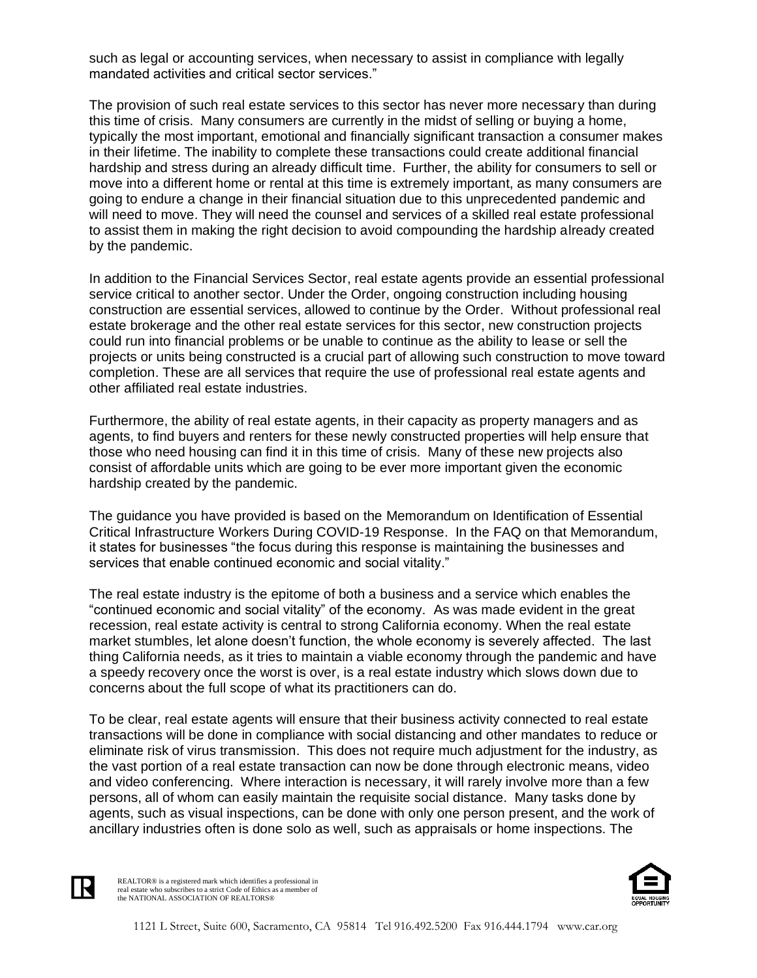such as legal or accounting services, when necessary to assist in compliance with legally mandated activities and critical sector services."

The provision of such real estate services to this sector has never more necessary than during this time of crisis. Many consumers are currently in the midst of selling or buying a home, typically the most important, emotional and financially significant transaction a consumer makes in their lifetime. The inability to complete these transactions could create additional financial hardship and stress during an already difficult time. Further, the ability for consumers to sell or move into a different home or rental at this time is extremely important, as many consumers are going to endure a change in their financial situation due to this unprecedented pandemic and will need to move. They will need the counsel and services of a skilled real estate professional to assist them in making the right decision to avoid compounding the hardship already created by the pandemic.

In addition to the Financial Services Sector, real estate agents provide an essential professional service critical to another sector. Under the Order, ongoing construction including housing construction are essential services, allowed to continue by the Order. Without professional real estate brokerage and the other real estate services for this sector, new construction projects could run into financial problems or be unable to continue as the ability to lease or sell the projects or units being constructed is a crucial part of allowing such construction to move toward completion. These are all services that require the use of professional real estate agents and other affiliated real estate industries.

Furthermore, the ability of real estate agents, in their capacity as property managers and as agents, to find buyers and renters for these newly constructed properties will help ensure that those who need housing can find it in this time of crisis. Many of these new projects also consist of affordable units which are going to be ever more important given the economic hardship created by the pandemic.

The guidance you have provided is based on the Memorandum on Identification of Essential Critical Infrastructure Workers During COVID-19 Response. In the FAQ on that Memorandum, it states for businesses "the focus during this response is maintaining the businesses and services that enable continued economic and social vitality."

The real estate industry is the epitome of both a business and a service which enables the "continued economic and social vitality" of the economy. As was made evident in the great recession, real estate activity is central to strong California economy. When the real estate market stumbles, let alone doesn't function, the whole economy is severely affected. The last thing California needs, as it tries to maintain a viable economy through the pandemic and have a speedy recovery once the worst is over, is a real estate industry which slows down due to concerns about the full scope of what its practitioners can do.

To be clear, real estate agents will ensure that their business activity connected to real estate transactions will be done in compliance with social distancing and other mandates to reduce or eliminate risk of virus transmission. This does not require much adjustment for the industry, as the vast portion of a real estate transaction can now be done through electronic means, video and video conferencing. Where interaction is necessary, it will rarely involve more than a few persons, all of whom can easily maintain the requisite social distance. Many tasks done by agents, such as visual inspections, can be done with only one person present, and the work of ancillary industries often is done solo as well, such as appraisals or home inspections. The



REALTOR® is a registered mark which identifies a professional in real estate who subscribes to a strict Code of Ethics as a member of the NATIONAL ASSOCIATION OF REALTORS®